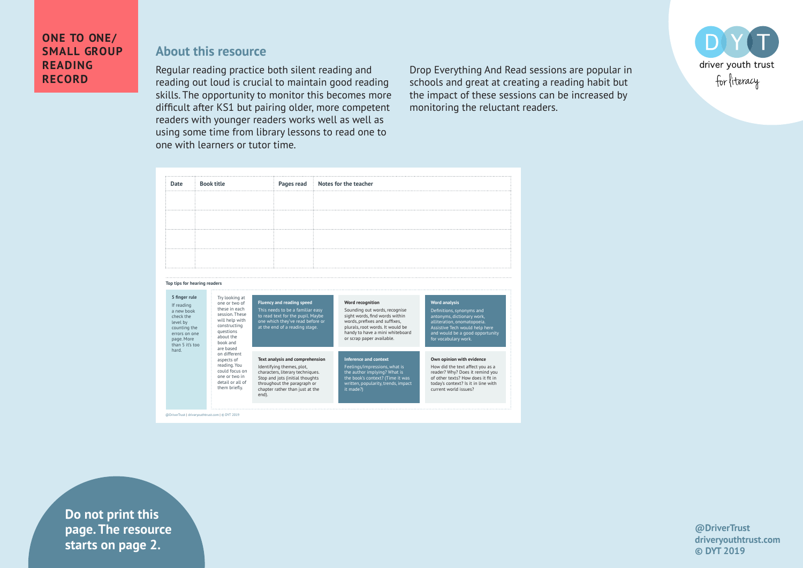# **About this resource**

Regular reading practice both silent reading and reading out loud is crucial to maintain good reading skills. The opportunity to monitor this becomes more difficult after KS1 but pairing older, more competent readers with younger readers works well as well as using some time from library lessons to read one to one with learners or tutor time.

Drop Everything And Read sessions are popular in schools and great at creating a reading habit but the impact of these sessions can be increased by monitoring the reluctant readers.





**Example 1** Starts on page 2. **Do not print this page. The resource** 

**@DriverTrust driveryouthtrust.com © DYT 2019**